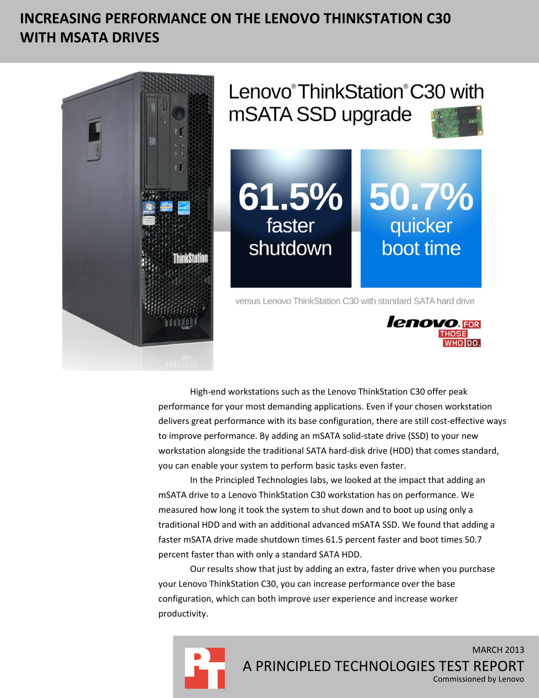# **INCREASING PERFORMANCE ON THE LENOVO THINKSTATION C30 WITH MSATA DRIVES**



High-end workstations such as the Lenovo ThinkStation C30 offer peak performance for your most demanding applications. Even if your chosen workstation delivers great performance with its base configuration, there are still cost-effective ways to improve performance. By adding an mSATA solid-state drive (SSD) to your new workstation alongside the traditional SATA hard-disk drive (HDD) that comes standard, you can enable your system to perform basic tasks even faster.

In the Principled Technologies labs, we looked at the impact that adding an mSATA drive to a Lenovo ThinkStation C30 workstation has on performance. We measured how long it took the system to shut down and to boot up using only a traditional HDD and with an additional advanced mSATA SSD. We found that adding a faster mSATA drive made shutdown times 61.5 percent faster and boot times 50.7 percent faster than with only a standard SATA HDD.

Our results show that just by adding an extra, faster drive when you purchase your Lenovo ThinkStation C30, you can increase performance over the base configuration, which can both improve user experience and increase worker productivity.

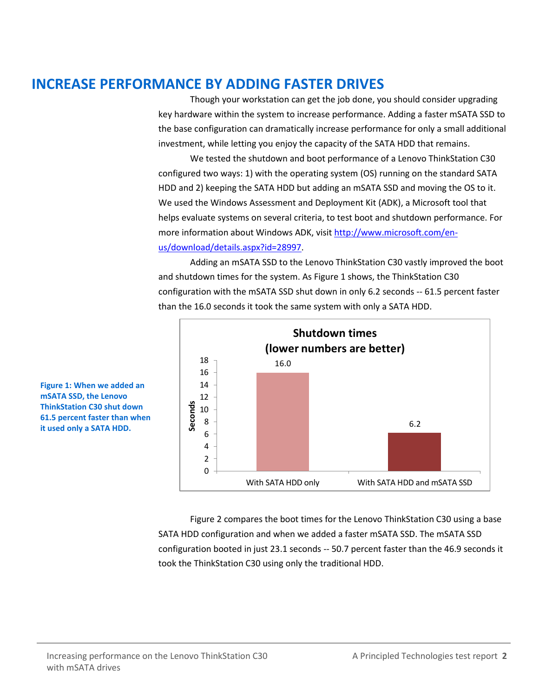### **INCREASE PERFORMANCE BY ADDING FASTER DRIVES**

Though your workstation can get the job done, you should consider upgrading key hardware within the system to increase performance. Adding a faster mSATA SSD to the base configuration can dramatically increase performance for only a small additional investment, while letting you enjoy the capacity of the SATA HDD that remains.

We tested the shutdown and boot performance of a Lenovo ThinkStation C30 configured two ways: 1) with the operating system (OS) running on the standard SATA HDD and 2) keeping the SATA HDD but adding an mSATA SSD and moving the OS to it. We used the Windows Assessment and Deployment Kit (ADK), a Microsoft tool that helps evaluate systems on several criteria, to test boot and shutdown performance. For more information about Windows ADK, visi[t http://www.microsoft.com/en](http://www.microsoft.com/en-us/download/details.aspx?id=28997)[us/download/details.aspx?id=28997.](http://www.microsoft.com/en-us/download/details.aspx?id=28997)

Adding an mSATA SSD to the Lenovo ThinkStation C30 vastly improved the boot and shutdown times for the system. As Figure 1 shows, the ThinkStation C30 configuration with the mSATA SSD shut down in only 6.2 seconds -- 61.5 percent faster than the 16.0 seconds it took the same system with only a SATA HDD.



**Figure 1: When we added an mSATA SSD, the Lenovo ThinkStation C30 shut down 61.5 percent faster than when it used only a SATA HDD.**

> Figure 2 compares the boot times for the Lenovo ThinkStation C30 using a base SATA HDD configuration and when we added a faster mSATA SSD. The mSATA SSD configuration booted in just 23.1 seconds -- 50.7 percent faster than the 46.9 seconds it took the ThinkStation C30 using only the traditional HDD.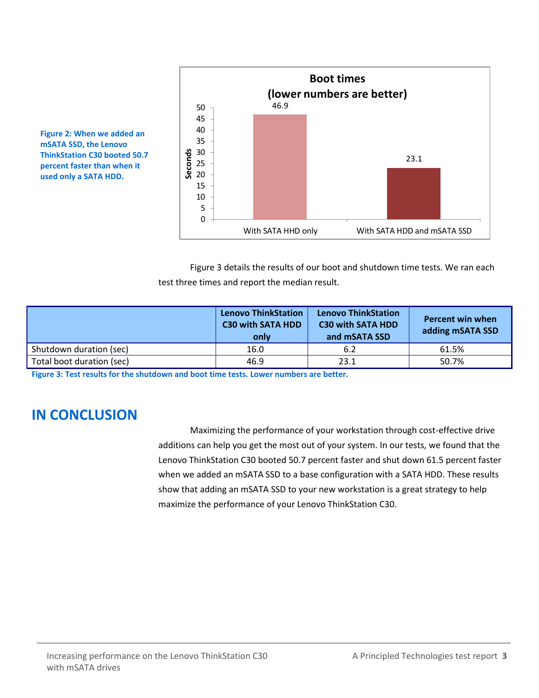

**mSATA SSD, the Lenovo ThinkStation C30 booted 50.7 percent faster than when it used only a SATA HDD.**

**Figure 2: When we added an** 

Figure 3 details the results of our boot and shutdown time tests. We ran each test three times and report the median result.

|                           | <b>Lenovo ThinkStation</b><br><b>C30 with SATA HDD</b><br>only | <b>Lenovo ThinkStation</b><br><b>C30 with SATA HDD</b><br>and mSATA SSD | <b>Percent win when</b><br>adding mSATA SSD |
|---------------------------|----------------------------------------------------------------|-------------------------------------------------------------------------|---------------------------------------------|
| Shutdown duration (sec)   | 16.0                                                           | 6.2                                                                     | 61.5%                                       |
| Total boot duration (sec) | 46.9                                                           | 23.1                                                                    | 50.7%                                       |

**Figure 3: Test results for the shutdown and boot time tests. Lower numbers are better.**

#### **IN CONCLUSION**

Maximizing the performance of your workstation through cost-effective drive additions can help you get the most out of your system. In our tests, we found that the Lenovo ThinkStation C30 booted 50.7 percent faster and shut down 61.5 percent faster when we added an mSATA SSD to a base configuration with a SATA HDD. These results show that adding an mSATA SSD to your new workstation is a great strategy to help maximize the performance of your Lenovo ThinkStation C30.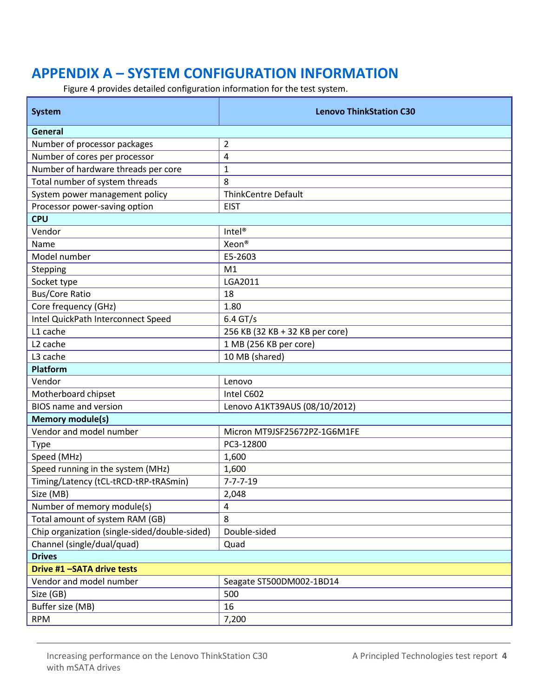## **APPENDIX A – SYSTEM CONFIGURATION INFORMATION**

Figure 4 provides detailed configuration information for the test system.

| <b>System</b>                                 | <b>Lenovo ThinkStation C30</b>  |
|-----------------------------------------------|---------------------------------|
| General                                       |                                 |
| Number of processor packages                  | $\overline{2}$                  |
| Number of cores per processor                 | 4                               |
| Number of hardware threads per core           | 1                               |
| Total number of system threads                | 8                               |
| System power management policy                | <b>ThinkCentre Default</b>      |
| Processor power-saving option                 | <b>EIST</b>                     |
| <b>CPU</b>                                    |                                 |
| Vendor                                        | Intel <sup>®</sup>              |
| Name                                          | Xeon <sup>®</sup>               |
| Model number                                  | E5-2603                         |
| Stepping                                      | M <sub>1</sub>                  |
| Socket type                                   | LGA2011                         |
| <b>Bus/Core Ratio</b>                         | 18                              |
| Core frequency (GHz)                          | 1.80                            |
| Intel QuickPath Interconnect Speed            | $6.4$ GT/s                      |
| L1 cache                                      | 256 KB (32 KB + 32 KB per core) |
| L <sub>2</sub> cache                          | 1 MB (256 KB per core)          |
| L3 cache                                      | 10 MB (shared)                  |
| Platform                                      |                                 |
| Vendor                                        | Lenovo                          |
| Motherboard chipset                           | Intel C602                      |
| <b>BIOS</b> name and version                  | Lenovo A1KT39AUS (08/10/2012)   |
| <b>Memory module(s)</b>                       |                                 |
| Vendor and model number                       | Micron MT9JSF25672PZ-1G6M1FE    |
| <b>Type</b>                                   | PC3-12800                       |
| Speed (MHz)                                   | 1,600                           |
| Speed running in the system (MHz)             | 1,600                           |
| Timing/Latency (tCL-tRCD-tRP-tRASmin)         | $7 - 7 - 7 - 19$                |
| Size (MB)                                     | 2,048                           |
| Number of memory module(s)                    | 4                               |
| Total amount of system RAM (GB)               | 8                               |
| Chip organization (single-sided/double-sided) | Double-sided                    |
| Channel (single/dual/quad)                    | Quad                            |
| <b>Drives</b>                                 |                                 |
| Drive #1 -SATA drive tests                    |                                 |
| Vendor and model number                       | Seagate ST500DM002-1BD14        |
| Size (GB)                                     | 500                             |
| Buffer size (MB)                              | 16                              |
| <b>RPM</b>                                    | 7,200                           |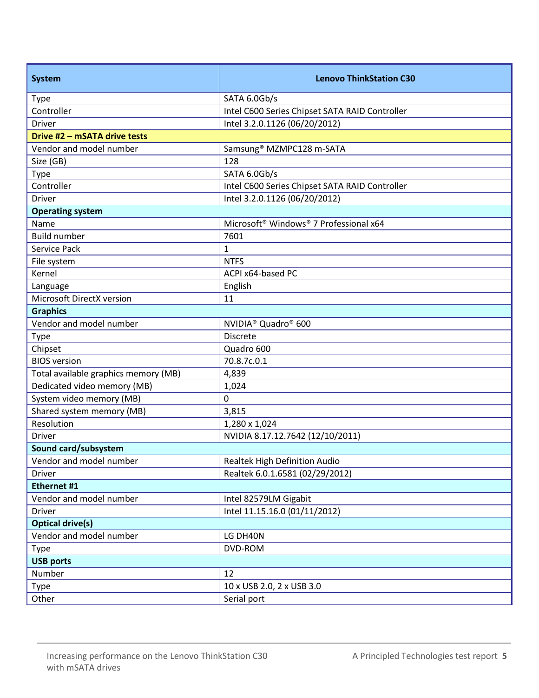| <b>System</b>                        | <b>Lenovo ThinkStation C30</b>                                 |  |  |
|--------------------------------------|----------------------------------------------------------------|--|--|
| <b>Type</b>                          | SATA 6.0Gb/s                                                   |  |  |
| Controller                           | Intel C600 Series Chipset SATA RAID Controller                 |  |  |
| <b>Driver</b>                        | Intel 3.2.0.1126 (06/20/2012)                                  |  |  |
| Drive #2 - mSATA drive tests         |                                                                |  |  |
| Vendor and model number              | Samsung <sup>®</sup> MZMPC128 m-SATA                           |  |  |
| Size (GB)                            | 128                                                            |  |  |
| <b>Type</b>                          | SATA 6.0Gb/s                                                   |  |  |
| Controller                           | Intel C600 Series Chipset SATA RAID Controller                 |  |  |
| Driver                               | Intel 3.2.0.1126 (06/20/2012)                                  |  |  |
| <b>Operating system</b>              |                                                                |  |  |
| Name                                 | Microsoft <sup>®</sup> Windows <sup>®</sup> 7 Professional x64 |  |  |
| <b>Build number</b>                  | 7601                                                           |  |  |
| Service Pack                         | $\mathbf{1}$                                                   |  |  |
| File system                          | <b>NTFS</b>                                                    |  |  |
| Kernel                               | ACPI x64-based PC                                              |  |  |
| Language                             | English                                                        |  |  |
| Microsoft DirectX version            | 11                                                             |  |  |
| <b>Graphics</b>                      |                                                                |  |  |
| Vendor and model number              | NVIDIA <sup>®</sup> Quadro <sup>®</sup> 600                    |  |  |
| Type                                 | <b>Discrete</b>                                                |  |  |
| Chipset                              | Quadro 600                                                     |  |  |
| <b>BIOS</b> version                  | 70.8.7c.0.1                                                    |  |  |
| Total available graphics memory (MB) | 4,839                                                          |  |  |
| Dedicated video memory (MB)          | 1,024                                                          |  |  |
| System video memory (MB)             | 0                                                              |  |  |
| Shared system memory (MB)            | 3,815                                                          |  |  |
| Resolution                           | 1,280 x 1,024                                                  |  |  |
| Driver                               | NVIDIA 8.17.12.7642 (12/10/2011)                               |  |  |
| Sound card/subsystem                 |                                                                |  |  |
| Vendor and model number              | Realtek High Definition Audio                                  |  |  |
| Driver                               | Realtek 6.0.1.6581 (02/29/2012)                                |  |  |
| Ethernet #1                          |                                                                |  |  |
| Vendor and model number              | Intel 82579LM Gigabit                                          |  |  |
| Driver                               | Intel 11.15.16.0 (01/11/2012)                                  |  |  |
| <b>Optical drive(s)</b>              |                                                                |  |  |
| Vendor and model number              | LG DH40N                                                       |  |  |
| <b>Type</b>                          | DVD-ROM                                                        |  |  |
| <b>USB ports</b>                     |                                                                |  |  |
| Number                               | 12                                                             |  |  |
| Type                                 | 10 x USB 2.0, 2 x USB 3.0                                      |  |  |
| Other                                | Serial port                                                    |  |  |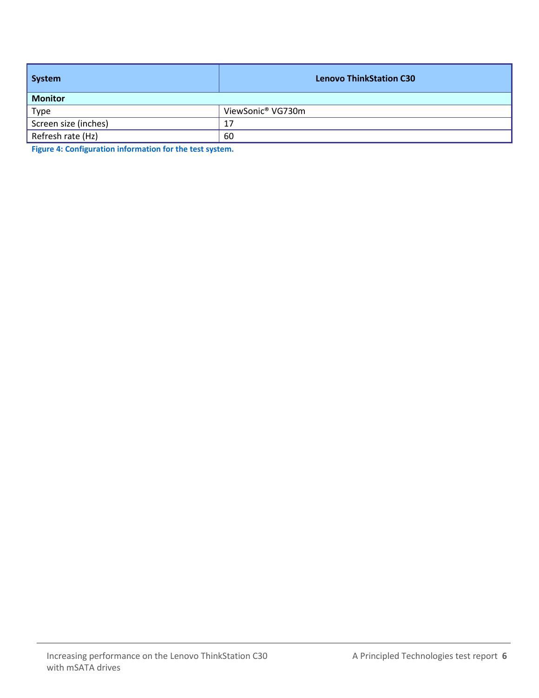| <b>System</b>        | <b>Lenovo ThinkStation C30</b> |  |
|----------------------|--------------------------------|--|
| <b>Monitor</b>       |                                |  |
| Type                 | ViewSonic <sup>®</sup> VG730m  |  |
| Screen size (inches) | 17                             |  |
| Refresh rate (Hz)    | 60                             |  |

**Figure 4: Configuration information for the test system.**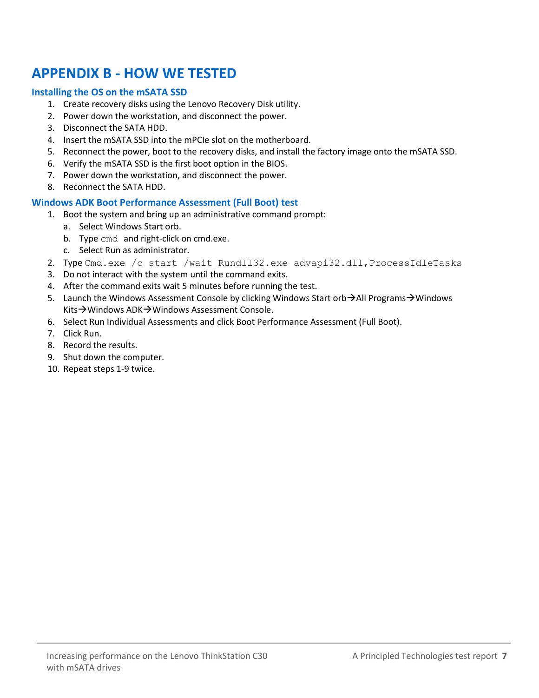## **APPENDIX B - HOW WE TESTED**

#### **Installing the OS on the mSATA SSD**

- 1. Create recovery disks using the Lenovo Recovery Disk utility.
- 2. Power down the workstation, and disconnect the power.
- 3. Disconnect the SATA HDD.
- 4. Insert the mSATA SSD into the mPCIe slot on the motherboard.
- 5. Reconnect the power, boot to the recovery disks, and install the factory image onto the mSATA SSD.
- 6. Verify the mSATA SSD is the first boot option in the BIOS.
- 7. Power down the workstation, and disconnect the power.
- 8. Reconnect the SATA HDD.

#### **Windows ADK Boot Performance Assessment (Full Boot) test**

- 1. Boot the system and bring up an administrative command prompt:
	- a. Select Windows Start orb.
	- b. Type cmd and right-click on cmd.exe.
	- c. Select Run as administrator.
- 2. Type Cmd.exe /c start /wait Rundll32.exe advapi32.dll, ProcessIdleTasks
- 3. Do not interact with the system until the command exits.
- 4. After the command exits wait 5 minutes before running the test.
- 5. Launch the Windows Assessment Console by clicking Windows Start orb $\rightarrow$ All Programs $\rightarrow$ Windows Kits→Windows ADK→Windows Assessment Console.
- 6. Select Run Individual Assessments and click Boot Performance Assessment (Full Boot).
- 7. Click Run.
- 8. Record the results.
- 9. Shut down the computer.
- 10. Repeat steps 1-9 twice.